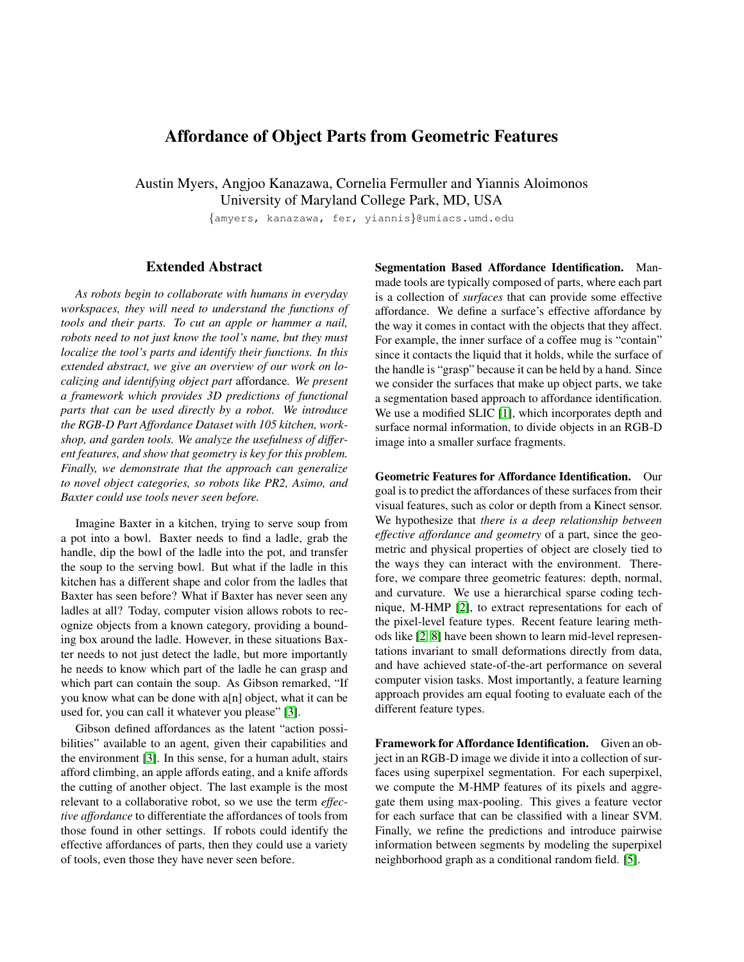## Affordance of Object Parts from Geometric Features

Austin Myers, Angjoo Kanazawa, Cornelia Fermuller and Yiannis Aloimonos University of Maryland College Park, MD, USA

{amyers, kanazawa, fer, yiannis}@umiacs.umd.edu

## Extended Abstract

*As robots begin to collaborate with humans in everyday workspaces, they will need to understand the functions of tools and their parts. To cut an apple or hammer a nail, robots need to not just know the tool's name, but they must localize the tool's parts and identify their functions. In this extended abstract, we give an overview of our work on localizing and identifying object part* affordance*. We present a framework which provides 3D predictions of functional parts that can be used directly by a robot. We introduce the RGB-D Part Affordance Dataset with 105 kitchen, workshop, and garden tools. We analyze the usefulness of different features, and show that geometry is key for this problem. Finally, we demonstrate that the approach can generalize to novel object categories, so robots like PR2, Asimo, and Baxter could use tools never seen before.*

Imagine Baxter in a kitchen, trying to serve soup from a pot into a bowl. Baxter needs to find a ladle, grab the handle, dip the bowl of the ladle into the pot, and transfer the soup to the serving bowl. But what if the ladle in this kitchen has a different shape and color from the ladles that Baxter has seen before? What if Baxter has never seen any ladles at all? Today, computer vision allows robots to recognize objects from a known category, providing a bounding box around the ladle. However, in these situations Baxter needs to not just detect the ladle, but more importantly he needs to know which part of the ladle he can grasp and which part can contain the soup. As Gibson remarked, "If you know what can be done with a[n] object, what it can be used for, you can call it whatever you please" [\[3\]](#page-1-0).

Gibson defined affordances as the latent "action possibilities" available to an agent, given their capabilities and the environment [\[3\]](#page-1-0). In this sense, for a human adult, stairs afford climbing, an apple affords eating, and a knife affords the cutting of another object. The last example is the most relevant to a collaborative robot, so we use the term *effective affordance* to differentiate the affordances of tools from those found in other settings. If robots could identify the effective affordances of parts, then they could use a variety of tools, even those they have never seen before.

Segmentation Based Affordance Identification. Manmade tools are typically composed of parts, where each part is a collection of *surfaces* that can provide some effective affordance. We define a surface's effective affordance by the way it comes in contact with the objects that they affect. For example, the inner surface of a coffee mug is "contain" since it contacts the liquid that it holds, while the surface of the handle is "grasp" because it can be held by a hand. Since we consider the surfaces that make up object parts, we take a segmentation based approach to affordance identification. We use a modified SLIC [\[1\]](#page-1-1), which incorporates depth and surface normal information, to divide objects in an RGB-D image into a smaller surface fragments.

Geometric Features for Affordance Identification. Our goal is to predict the affordances of these surfaces from their visual features, such as color or depth from a Kinect sensor. We hypothesize that *there is a deep relationship between effective affordance and geometry* of a part, since the geometric and physical properties of object are closely tied to the ways they can interact with the environment. Therefore, we compare three geometric features: depth, normal, and curvature. We use a hierarchical sparse coding technique, M-HMP [\[2\]](#page-1-2), to extract representations for each of the pixel-level feature types. Recent feature learing methods like [\[2,](#page-1-2) [8\]](#page-1-3) have been shown to learn mid-level representations invariant to small deformations directly from data, and have achieved state-of-the-art performance on several computer vision tasks. Most importantly, a feature learning approach provides am equal footing to evaluate each of the different feature types.

Framework for Affordance Identification. Given an object in an RGB-D image we divide it into a collection of surfaces using superpixel segmentation. For each superpixel, we compute the M-HMP features of its pixels and aggregate them using max-pooling. This gives a feature vector for each surface that can be classified with a linear SVM. Finally, we refine the predictions and introduce pairwise information between segments by modeling the superpixel neighborhood graph as a conditional random field. [\[5\]](#page-1-4).